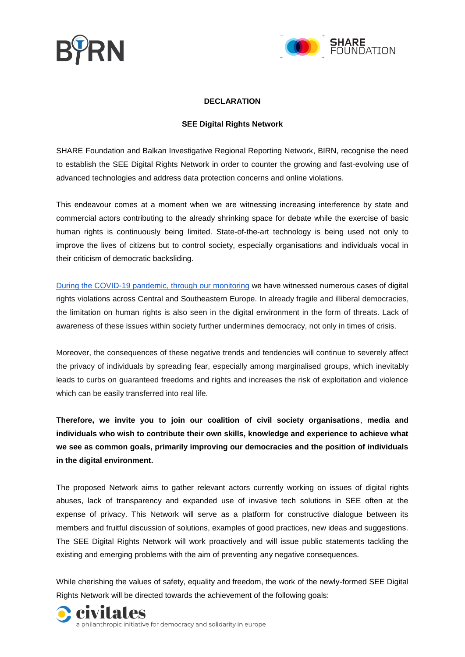



## **DECLARATION**

## **SEE Digital Rights Network**

SHARE Foundation and Balkan Investigative Regional Reporting Network, BIRN, recognise the need to establish the SEE Digital Rights Network in order to counter the growing and fast-evolving use of advanced technologies and address data protection concerns and online violations.

This endeavour comes at a moment when we are witnessing increasing interference by state and commercial actors contributing to the already shrinking space for debate while the exercise of basic human rights is continuously being limited. State-of-the-art technology is being used not only to improve the lives of citizens but to control society, especially organisations and individuals vocal in their criticism of democratic backsliding.

[During the COVID-19 pandemic, through our monitoring](https://bird.tools/wp-content/uploads/2020/06/From-Cures-to-Curses-Manipulation-Flourishes-in-the-Digital-Environment-1.pdf) we have witnessed numerous cases of digital rights violations across Central and Southeastern Europe. In already fragile and illiberal democracies, the limitation on human rights is also seen in the digital environment in the form of threats. Lack of awareness of these issues within society further undermines democracy, not only in times of crisis.

Moreover, the consequences of these negative trends and tendencies will continue to severely affect the privacy of individuals by spreading fear, especially among marginalised groups, which inevitably leads to curbs on guaranteed freedoms and rights and increases the risk of exploitation and violence which can be easily transferred into real life.

**Therefore, we invite you to join our coalition of civil society organisations**, **media and individuals who wish to contribute their own skills, knowledge and experience to achieve what we see as common goals, primarily improving our democracies and the position of individuals in the digital environment.**

The proposed Network aims to gather relevant actors currently working on issues of digital rights abuses, lack of transparency and expanded use of invasive tech solutions in SEE often at the expense of privacy. This Network will serve as a platform for constructive dialogue between its members and fruitful discussion of solutions, examples of good practices, new ideas and suggestions. The SEE Digital Rights Network will work proactively and will issue public statements tackling the existing and emerging problems with the aim of preventing any negative consequences.

While cherishing the values of safety, equality and freedom, the work of the newly-formed SEE Digital Rights Network will be directed towards the achievement of the following goals:

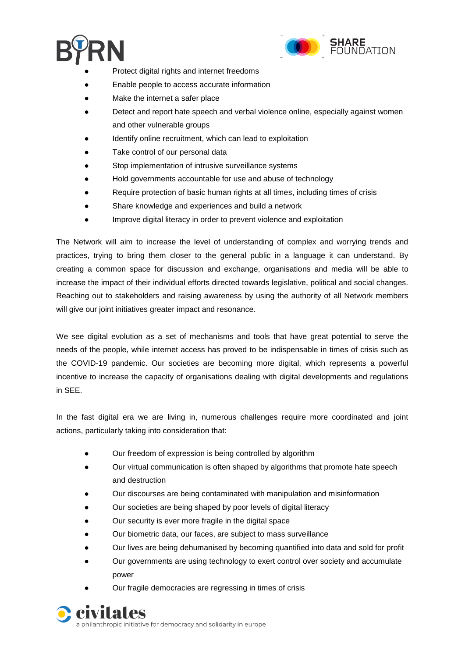



- Protect digital rights and internet freedoms
- Enable people to access accurate information
- Make the internet a safer place
- Detect and report hate speech and verbal violence online, especially against women and other vulnerable groups
- Identify online recruitment, which can lead to exploitation
- Take control of our personal data
- Stop implementation of intrusive surveillance systems
- Hold governments accountable for use and abuse of technology
- Require protection of basic human rights at all times, including times of crisis
- Share knowledge and experiences and build a network
- Improve digital literacy in order to prevent violence and exploitation

The Network will aim to increase the level of understanding of complex and worrying trends and practices, trying to bring them closer to the general public in a language it can understand. By creating a common space for discussion and exchange, organisations and media will be able to increase the impact of their individual efforts directed towards legislative, political and social changes. Reaching out to stakeholders and raising awareness by using the authority of all Network members will give our joint initiatives greater impact and resonance.

We see digital evolution as a set of mechanisms and tools that have great potential to serve the needs of the people, while internet access has proved to be indispensable in times of crisis such as the COVID-19 pandemic. Our societies are becoming more digital, which represents a powerful incentive to increase the capacity of organisations dealing with digital developments and regulations in SEE.

In the fast digital era we are living in, numerous challenges require more coordinated and joint actions, particularly taking into consideration that:

- Our freedom of expression is being controlled by algorithm
- Our virtual communication is often shaped by algorithms that promote hate speech and destruction
- Our discourses are being contaminated with manipulation and misinformation
- Our societies are being shaped by poor levels of digital literacy
- Our security is ever more fragile in the digital space
- Our biometric data, our faces, are subject to mass surveillance
- Our lives are being dehumanised by becoming quantified into data and sold for profit
- Our governments are using technology to exert control over society and accumulate power
- Our fragile democracies are regressing in times of crisis